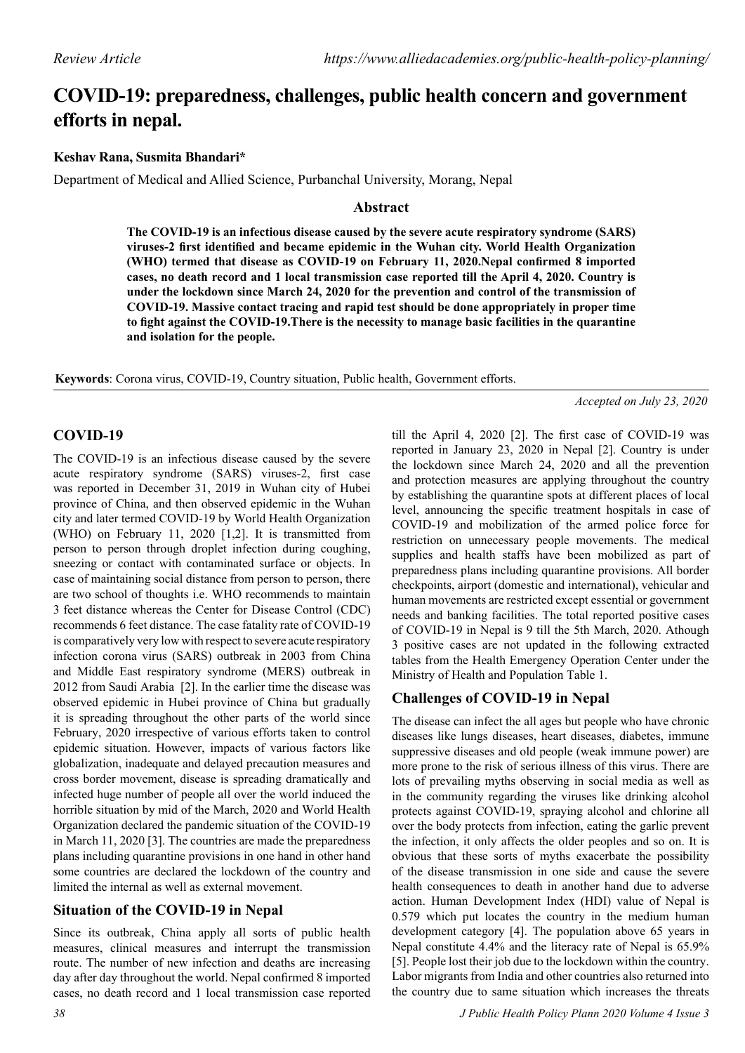# **COVID-19: preparedness, challenges, public health concern and government efforts in nepal.**

#### **Keshav Rana, Susmita Bhandari\***

Department of Medical and Allied Science, Purbanchal University, Morang, Nepal

#### **Abstract**

**The COVID-19 is an infectious disease caused by the severe acute respiratory syndrome (SARS) viruses-2 first identified and became epidemic in the Wuhan city. World Health Organization (WHO) termed that disease as COVID-19 on February 11, 2020.Nepal confirmed 8 imported cases, no death record and 1 local transmission case reported till the April 4, 2020. Country is under the lockdown since March 24, 2020 for the prevention and control of the transmission of COVID-19. Massive contact tracing and rapid test should be done appropriately in proper time to fight against the COVID-19.There is the necessity to manage basic facilities in the quarantine and isolation for the people.**

**Keywords**: Corona virus, COVID-19, Country situation, Public health, Government efforts.

*Accepted on July 23, 2020*

## **COVID-19**

The COVID-19 is an infectious disease caused by the severe acute respiratory syndrome (SARS) viruses-2, first case was reported in December 31, 2019 in Wuhan city of Hubei province of China, and then observed epidemic in the Wuhan city and later termed COVID-19 by World Health Organization (WHO) on February 11, 2020 [1,2]. It is transmitted from person to person through droplet infection during coughing, sneezing or contact with contaminated surface or objects. In case of maintaining social distance from person to person, there are two school of thoughts i.e. WHO recommends to maintain 3 feet distance whereas the Center for Disease Control (CDC) recommends 6 feet distance. The case fatality rate of COVID-19 is comparatively very low with respect to severe acute respiratory infection corona virus (SARS) outbreak in 2003 from China and Middle East respiratory syndrome (MERS) outbreak in 2012 from Saudi Arabia [2]. In the earlier time the disease was observed epidemic in Hubei province of China but gradually it is spreading throughout the other parts of the world since February, 2020 irrespective of various efforts taken to control epidemic situation. However, impacts of various factors like globalization, inadequate and delayed precaution measures and cross border movement, disease is spreading dramatically and infected huge number of people all over the world induced the horrible situation by mid of the March, 2020 and World Health Organization declared the pandemic situation of the COVID-19 in March 11, 2020 [3]. The countries are made the preparedness plans including quarantine provisions in one hand in other hand some countries are declared the lockdown of the country and limited the internal as well as external movement.

## **Situation of the COVID-19 in Nepal**

Since its outbreak, China apply all sorts of public health measures, clinical measures and interrupt the transmission route. The number of new infection and deaths are increasing day after day throughout the world. Nepal confirmed 8 imported cases, no death record and 1 local transmission case reported

till the April 4, 2020 [2]. The first case of COVID-19 was reported in January 23, 2020 in Nepal [2]. Country is under the lockdown since March 24, 2020 and all the prevention and protection measures are applying throughout the country by establishing the quarantine spots at different places of local level, announcing the specific treatment hospitals in case of COVID-19 and mobilization of the armed police force for restriction on unnecessary people movements. The medical supplies and health staffs have been mobilized as part of preparedness plans including quarantine provisions. All border checkpoints, airport (domestic and international), vehicular and human movements are restricted except essential or government needs and banking facilities. The total reported positive cases of COVID-19 in Nepal is 9 till the 5th March, 2020. Athough 3 positive cases are not updated in the following extracted tables from the Health Emergency Operation Center under the Ministry of Health and Population Table 1.

# **Challenges of COVID-19 in Nepal**

The disease can infect the all ages but people who have chronic diseases like lungs diseases, heart diseases, diabetes, immune suppressive diseases and old people (weak immune power) are more prone to the risk of serious illness of this virus. There are lots of prevailing myths observing in social media as well as in the community regarding the viruses like drinking alcohol protects against COVID-19, spraying alcohol and chlorine all over the body protects from infection, eating the garlic prevent the infection, it only affects the older peoples and so on. It is obvious that these sorts of myths exacerbate the possibility of the disease transmission in one side and cause the severe health consequences to death in another hand due to adverse action. Human Development Index (HDI) value of Nepal is 0.579 which put locates the country in the medium human development category [4]. The population above 65 years in Nepal constitute 4.4% and the literacy rate of Nepal is 65.9% [5]. People lost their job due to the lockdown within the country. Labor migrants from India and other countries also returned into the country due to same situation which increases the threats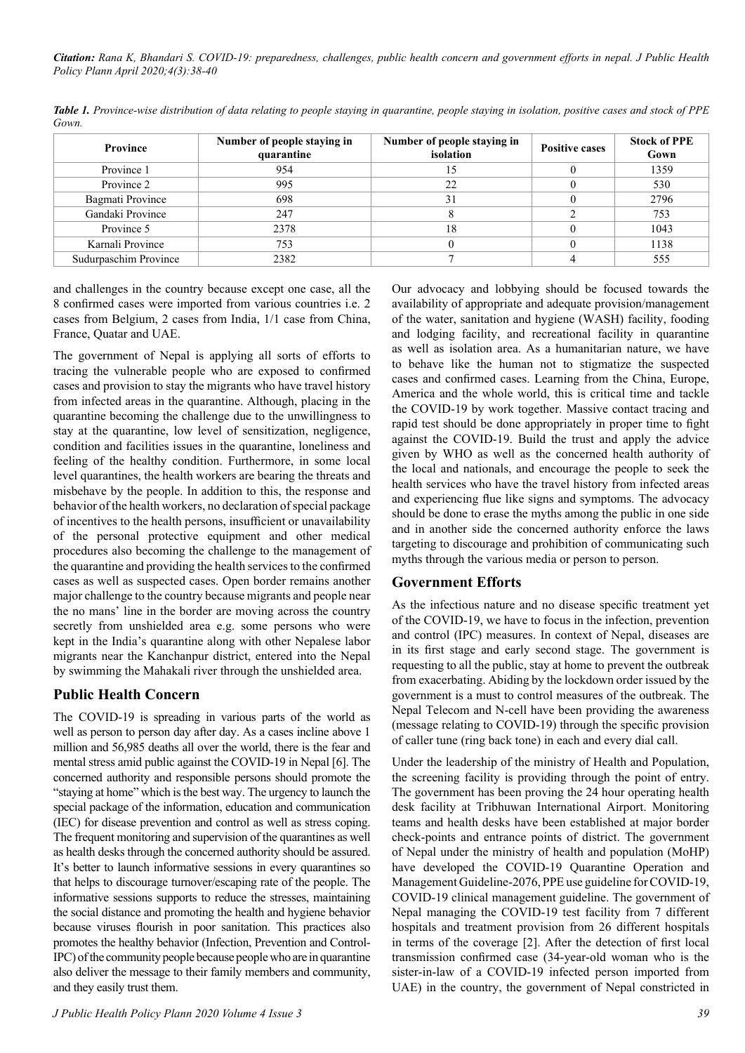*Citation: Rana K, Bhandari S. COVID-19: preparedness, challenges, public health concern and government efforts in nepal. J Public Health Policy Plann April 2020;4(3):38-40*

| <b>Province</b>       | Number of people staying in<br>quarantine | Number of people staying in<br>isolation | <b>Positive cases</b> | <b>Stock of PPE</b><br>Gown |
|-----------------------|-------------------------------------------|------------------------------------------|-----------------------|-----------------------------|
| Province 1            | 954                                       |                                          |                       | 1359                        |
| Province 2            | 995                                       | 22                                       |                       | 530                         |
| Bagmati Province      | 698                                       | 31                                       |                       | 2796                        |
| Gandaki Province      | 247                                       |                                          |                       | 753                         |
| Province 5            | 2378                                      | 18                                       |                       | 1043                        |
| Karnali Province      | 753                                       |                                          |                       | 1138                        |
| Sudurpaschim Province | 2382                                      |                                          |                       | 555                         |

*Table 1. Province-wise distribution of data relating to people staying in quarantine, people staying in isolation, positive cases and stock of PPE Gown.*

and challenges in the country because except one case, all the 8 confirmed cases were imported from various countries i.e. 2 cases from Belgium, 2 cases from India, 1/1 case from China, France, Quatar and UAE.

The government of Nepal is applying all sorts of efforts to tracing the vulnerable people who are exposed to confirmed cases and provision to stay the migrants who have travel history from infected areas in the quarantine. Although, placing in the quarantine becoming the challenge due to the unwillingness to stay at the quarantine, low level of sensitization, negligence, condition and facilities issues in the quarantine, loneliness and feeling of the healthy condition. Furthermore, in some local level quarantines, the health workers are bearing the threats and misbehave by the people. In addition to this, the response and behavior of the health workers, no declaration of special package of incentives to the health persons, insufficient or unavailability of the personal protective equipment and other medical procedures also becoming the challenge to the management of the quarantine and providing the health services to the confirmed cases as well as suspected cases. Open border remains another major challenge to the country because migrants and people near the no mans' line in the border are moving across the country secretly from unshielded area e.g. some persons who were kept in the India's quarantine along with other Nepalese labor migrants near the Kanchanpur district, entered into the Nepal by swimming the Mahakali river through the unshielded area.

#### **Public Health Concern**

The COVID-19 is spreading in various parts of the world as well as person to person day after day. As a cases incline above 1 million and 56,985 deaths all over the world, there is the fear and mental stress amid public against the COVID-19 in Nepal [6]. The concerned authority and responsible persons should promote the "staying at home" which is the best way. The urgency to launch the special package of the information, education and communication (IEC) for disease prevention and control as well as stress coping. The frequent monitoring and supervision of the quarantines as well as health desks through the concerned authority should be assured. It's better to launch informative sessions in every quarantines so that helps to discourage turnover/escaping rate of the people. The informative sessions supports to reduce the stresses, maintaining the social distance and promoting the health and hygiene behavior because viruses flourish in poor sanitation. This practices also promotes the healthy behavior (Infection, Prevention and Control-IPC) of the community people because people who are in quarantine also deliver the message to their family members and community, and they easily trust them.

Our advocacy and lobbying should be focused towards the availability of appropriate and adequate provision/management of the water, sanitation and hygiene (WASH) facility, fooding and lodging facility, and recreational facility in quarantine as well as isolation area. As a humanitarian nature, we have to behave like the human not to stigmatize the suspected cases and confirmed cases. Learning from the China, Europe, America and the whole world, this is critical time and tackle the COVID-19 by work together. Massive contact tracing and rapid test should be done appropriately in proper time to fight against the COVID-19. Build the trust and apply the advice given by WHO as well as the concerned health authority of the local and nationals, and encourage the people to seek the health services who have the travel history from infected areas and experiencing flue like signs and symptoms. The advocacy should be done to erase the myths among the public in one side and in another side the concerned authority enforce the laws targeting to discourage and prohibition of communicating such myths through the various media or person to person.

#### **Government Efforts**

As the infectious nature and no disease specific treatment yet of the COVID-19, we have to focus in the infection, prevention and control (IPC) measures. In context of Nepal, diseases are in its first stage and early second stage. The government is requesting to all the public, stay at home to prevent the outbreak from exacerbating. Abiding by the lockdown order issued by the government is a must to control measures of the outbreak. The Nepal Telecom and N-cell have been providing the awareness (message relating to COVID-19) through the specific provision of caller tune (ring back tone) in each and every dial call.

Under the leadership of the ministry of Health and Population, the screening facility is providing through the point of entry. The government has been proving the 24 hour operating health desk facility at Tribhuwan International Airport. Monitoring teams and health desks have been established at major border check-points and entrance points of district. The government of Nepal under the ministry of health and population (MoHP) have developed the COVID-19 Quarantine Operation and Management Guideline-2076, PPE use guideline for COVID-19, COVID-19 clinical management guideline. The government of Nepal managing the COVID-19 test facility from 7 different hospitals and treatment provision from 26 different hospitals in terms of the coverage [2]. After the detection of first local transmission confirmed case (34-year-old woman who is the sister-in-law of a COVID-19 infected person imported from UAE) in the country, the government of Nepal constricted in